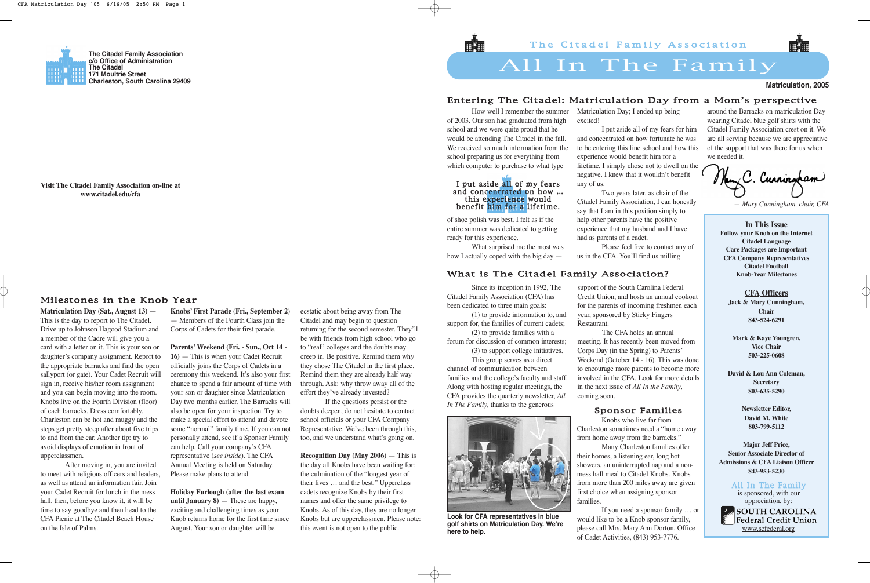How well I remember the summer of 2003. Our son had graduated from high school and we were quite proud that he would be attending The Citadel in the fall. We received so much information from the school preparing us for everything from which computer to purchase to what type

of shoe polish was best. I felt as if the entire summer was dedicated to getting ready for this experience.

What surprised me the most was how I actually coped with the big day —

### Matriculation Day; I ended up being

excited!

I put aside all of my fears for him and concentrated on how fortunate he was to be entering this fine school and how this experience would benefit him for a lifetime. I simply chose not to dwell on the negative. I knew that it wouldn't benefit

any of us.

Two years later, as chair of the Citadel Family Association, I can honestly say that I am in this position simply to help other parents have the positive experience that my husband and I have had as parents of a cadet.

Please feel free to contact any of us in the CFA. You'll find us milling

**PANSOUTH CAROLINA** Federal Credit Union www.scfederal.org

around the Barracks on matriculation Day wearing Citadel blue golf shirts with the Citadel Family Association crest on it. We are all serving because we are appreciative of the support that was there for us when we needed it.

New C. Curringham

*— Mary Cunningham, chair, CFA*

# All In The Family

### **Matriculation, 2005**

**The Citadel Family Association c/o Office of Administration The Citadel 171 Moultrie Street Charleston, South Carolina 29409**

> **In This Issue Follow your Knob on the Internet Citadel Language Care Packages are Important CFA Company Representatives Citadel Football Knob-Year Milestones**

**CFA Officers Jack & Mary Cunningham, Chair 843-524-6291**

**Mark & Kaye Youngren, Vice Chair 503-225-0608**

**David & Lou Ann Coleman, Secretary 803-635-5290**

> **Newsletter Editor, David M. White 803-799-5112**

**Major Jeff Price, Senior Associate Director of Admissions & CFA Liaison Officer 843-953-5230**

> All In The Family is sponsored, with our appreciation, by:

**Visit The Citadel Family Association on-line at www.citadel.edu/cfa**

### Entering The Citadel: Matriculation Day from a Mom's perspective

What is The Citadel Family Association?

### Milestones in the Knob Year

Since its inception in 1992, The Citadel Family Association (CFA) has been dedicated to three main goals: (1) to provide information to, and support for, the families of current cadets; (2) to provide families with a forum for discussion of common interests; (3) to support college initiatives. This group serves as a direct channel of communication between families and the college's faculty and staff. Along with hosting regular meetings, the

CFA provides the quarterly newsletter, *All In The Family*, thanks to the generous

support of the South Carolina Federal Credit Union, and hosts an annual cookout for the parents of incoming freshmen each year, sponsored by Sticky Fingers

Restaurant.

### I put aside all of my fears and concentrated on how … this experience would benefit him for a lifetime.

The CFA holds an annual meeting. It has recently been moved from Corps Day (in the Spring) to Parents' Weekend (October 14 - 16). This was done to encourage more parents to become more involved in the CFA. Look for more details in the next issue of *All In the Family*,

coming soon.

**Matriculation Day (Sat., August 13) —** This is the day to report to The Citadel. Drive up to Johnson Hagood Stadium and a member of the Cadre will give you a card with a letter on it. This is your son or daughter's company assignment. Report to the appropriate barracks and find the open sallyport (or gate). Your Cadet Recruit will sign in, receive his/her room assignment and you can begin moving into the room. Knobs live on the Fourth Division (floor) of each barracks. Dress comfortably. Charleston can be hot and muggy and the steps get pretty steep after about five trips to and from the car. Another tip: try to avoid displays of emotion in front of upperclassmen.

After moving in, you are invited to meet with religious officers and leaders, as well as attend an information fair. Join your Cadet Recruit for lunch in the mess hall, then, before you know it, it will be time to say goodbye and then head to the CFA Picnic at The Citadel Beach House on the Isle of Palms.

**Knobs' First Parade (Fri., September 2)** — Members of the Fourth Class join the Corps of Cadets for their first parade.

**Parents' Weekend (Fri. - Sun., Oct 14 - 16)** — This is when your Cadet Recruit officially joins the Corps of Cadets in a ceremony this weekend. It's also your first chance to spend a fair amount of time with your son or daughter since Matriculation Day two months earlier. The Barracks will also be open for your inspection. Try to make a special effort to attend and devote some "normal" family time. If you can not personally attend, see if a Sponsor Family can help. Call your company's CFA representative (*see inside*). The CFA Annual Meeting is held on Saturday. Please make plans to attend.

**Holiday Furlough (after the last exam until January 8)** — These are happy, exciting and challenging times as your Knob returns home for the first time since August. Your son or daughter will be

ecstatic about being away from The Citadel and may begin to question returning for the second semester. They'll be with friends from high school who go to "real" colleges and the doubts may creep in. Be positive. Remind them why they chose The Citadel in the first place. Remind them they are already half way through. Ask: why throw away all of the effort they've already invested?

If the questions persist or the doubts deepen, do not hesitate to contact school officials or your CFA Company Representative. We've been through this, too, and we understand what's going on.

**Recognition Day (May 2006)** — This is the day all Knobs have been waiting for: the culmination of the "longest year of their lives … and the best." Upperclass cadets recognize Knobs by their first names and offer the same privilege to Knobs. As of this day, they are no longer Knobs but are upperclassmen. Please note: this event is not open to the public.



**Look for CFA representatives in blue golf shirts on Matriculation Day. We're here to help.**

### Sponsor Families

Knobs who live far from Charleston sometimes need a "home away from home away from the barracks." Many Charleston families offer their homes, a listening ear, long hot showers, an uninterrupted nap and a nonmess hall meal to Citadel Knobs. Knobs from more than 200 miles away are given first choice when assigning sponsor

families.

If you need a sponsor family … or would like to be a Knob sponsor family, please call Mrs. Mary Ann Dorton, Office of Cadet Activities, (843) 953-7776.

## The Citadel Family Association